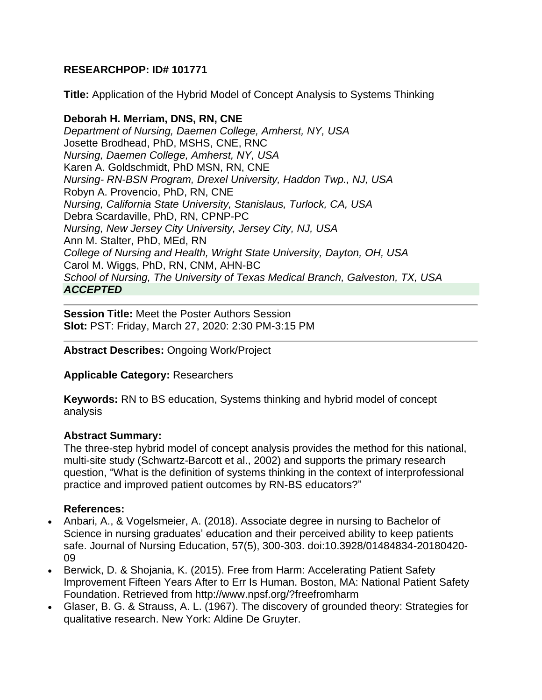# **RESEARCHPOP: ID# 101771**

**Title:** Application of the Hybrid Model of Concept Analysis to Systems Thinking

### **Deborah H. Merriam, DNS, RN, CNE**

*Department of Nursing, Daemen College, Amherst, NY, USA* Josette Brodhead, PhD, MSHS, CNE, RNC *Nursing, Daemen College, Amherst, NY, USA* Karen A. Goldschmidt, PhD MSN, RN, CNE *Nursing- RN-BSN Program, Drexel University, Haddon Twp., NJ, USA* Robyn A. Provencio, PhD, RN, CNE *Nursing, California State University, Stanislaus, Turlock, CA, USA* Debra Scardaville, PhD, RN, CPNP-PC *Nursing, New Jersey City University, Jersey City, NJ, USA* Ann M. Stalter, PhD, MEd, RN *College of Nursing and Health, Wright State University, Dayton, OH, USA* Carol M. Wiggs, PhD, RN, CNM, AHN-BC *School of Nursing, The University of Texas Medical Branch, Galveston, TX, USA ACCEPTED*

**Session Title:** Meet the Poster Authors Session **Slot:** PST: Friday, March 27, 2020: 2:30 PM-3:15 PM

#### **Abstract Describes:** Ongoing Work/Project

### **Applicable Category:** Researchers

**Keywords:** RN to BS education, Systems thinking and hybrid model of concept analysis

### **Abstract Summary:**

The three-step hybrid model of concept analysis provides the method for this national, multi-site study (Schwartz-Barcott et al., 2002) and supports the primary research question, "What is the definition of systems thinking in the context of interprofessional practice and improved patient outcomes by RN-BS educators?"

#### **References:**

- Anbari, A., & Vogelsmeier, A. (2018). Associate degree in nursing to Bachelor of Science in nursing graduates' education and their perceived ability to keep patients safe. Journal of Nursing Education, 57(5), 300-303. doi:10.3928/01484834-20180420- 09
- Berwick, D. & Shojania, K. (2015). Free from Harm: Accelerating Patient Safety Improvement Fifteen Years After to Err Is Human. Boston, MA: National Patient Safety Foundation. Retrieved from http://www.npsf.org/?freefromharm
- Glaser, B. G. & Strauss, A. L. (1967). The discovery of grounded theory: Strategies for qualitative research. New York: Aldine De Gruyter.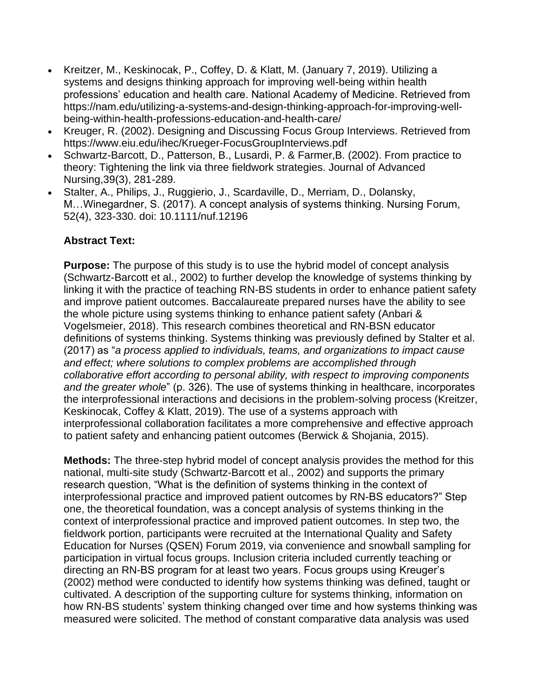- Kreitzer, M., Keskinocak, P., Coffey, D. & Klatt, M. (January 7, 2019). Utilizing a systems and designs thinking approach for improving well-being within health professions' education and health care. National Academy of Medicine. Retrieved from https://nam.edu/utilizing-a-systems-and-design-thinking-approach-for-improving-wellbeing-within-health-professions-education-and-health-care/
- Kreuger, R. (2002). Designing and Discussing Focus Group Interviews. Retrieved from https://www.eiu.edu/ihec/Krueger-FocusGroupInterviews.pdf
- Schwartz-Barcott, D., Patterson, B., Lusardi, P. & Farmer,B. (2002). From practice to theory: Tightening the link via three fieldwork strategies. Journal of Advanced Nursing,39(3), 281-289.
- Stalter, A., Philips, J., Ruggierio, J., Scardaville, D., Merriam, D., Dolansky, M…Winegardner, S. (2017). A concept analysis of systems thinking. Nursing Forum, 52(4), 323-330. doi: 10.1111/nuf.12196

# **Abstract Text:**

**Purpose:** The purpose of this study is to use the hybrid model of concept analysis (Schwartz-Barcott et al., 2002) to further develop the knowledge of systems thinking by linking it with the practice of teaching RN-BS students in order to enhance patient safety and improve patient outcomes. Baccalaureate prepared nurses have the ability to see the whole picture using systems thinking to enhance patient safety (Anbari & Vogelsmeier, 2018). This research combines theoretical and RN-BSN educator definitions of systems thinking. Systems thinking was previously defined by Stalter et al. (2017) as "*a process applied to individuals, teams, and organizations to impact cause and effect; where solutions to complex problems are accomplished through collaborative effort according to personal ability, with respect to improving components and the greater whole*" (p. 326). The use of systems thinking in healthcare, incorporates the interprofessional interactions and decisions in the problem-solving process (Kreitzer, Keskinocak, Coffey & Klatt, 2019). The use of a systems approach with interprofessional collaboration facilitates a more comprehensive and effective approach to patient safety and enhancing patient outcomes (Berwick & Shojania, 2015).

**Methods:** The three-step hybrid model of concept analysis provides the method for this national, multi-site study (Schwartz-Barcott et al., 2002) and supports the primary research question, "What is the definition of systems thinking in the context of interprofessional practice and improved patient outcomes by RN-BS educators?" Step one, the theoretical foundation, was a concept analysis of systems thinking in the context of interprofessional practice and improved patient outcomes. In step two, the fieldwork portion, participants were recruited at the International Quality and Safety Education for Nurses (QSEN) Forum 2019, via convenience and snowball sampling for participation in virtual focus groups. Inclusion criteria included currently teaching or directing an RN-BS program for at least two years. Focus groups using Kreuger's (2002) method were conducted to identify how systems thinking was defined, taught or cultivated. A description of the supporting culture for systems thinking, information on how RN-BS students' system thinking changed over time and how systems thinking was measured were solicited. The method of constant comparative data analysis was used